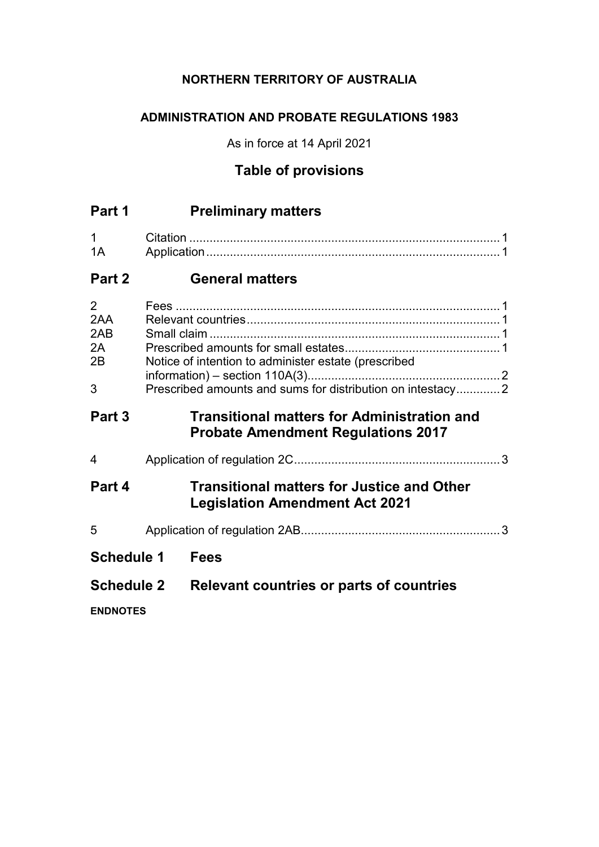## **NORTHERN TERRITORY OF AUSTRALIA**

## **ADMINISTRATION AND PROBATE REGULATIONS 1983**

As in force at 14 April 2021

# **Table of provisions**

| Part 1                                        |  | <b>Preliminary matters</b>                                                                                         |  |
|-----------------------------------------------|--|--------------------------------------------------------------------------------------------------------------------|--|
| 1<br>1A                                       |  |                                                                                                                    |  |
| Part 2                                        |  | <b>General matters</b>                                                                                             |  |
| $\overline{2}$<br>2AA<br>2AB<br>2A<br>2B<br>3 |  | Notice of intention to administer estate (prescribed<br>Prescribed amounts and sums for distribution on intestacy2 |  |
| Part 3                                        |  | <b>Transitional matters for Administration and</b><br><b>Probate Amendment Regulations 2017</b>                    |  |
| 4                                             |  |                                                                                                                    |  |
| Part 4                                        |  | <b>Transitional matters for Justice and Other</b><br><b>Legislation Amendment Act 2021</b>                         |  |
| 5                                             |  |                                                                                                                    |  |
| <b>Schedule 1</b>                             |  | <b>Fees</b>                                                                                                        |  |
| <b>Schedule 2</b>                             |  | <b>Relevant countries or parts of countries</b>                                                                    |  |
| <b>ENDNOTES</b>                               |  |                                                                                                                    |  |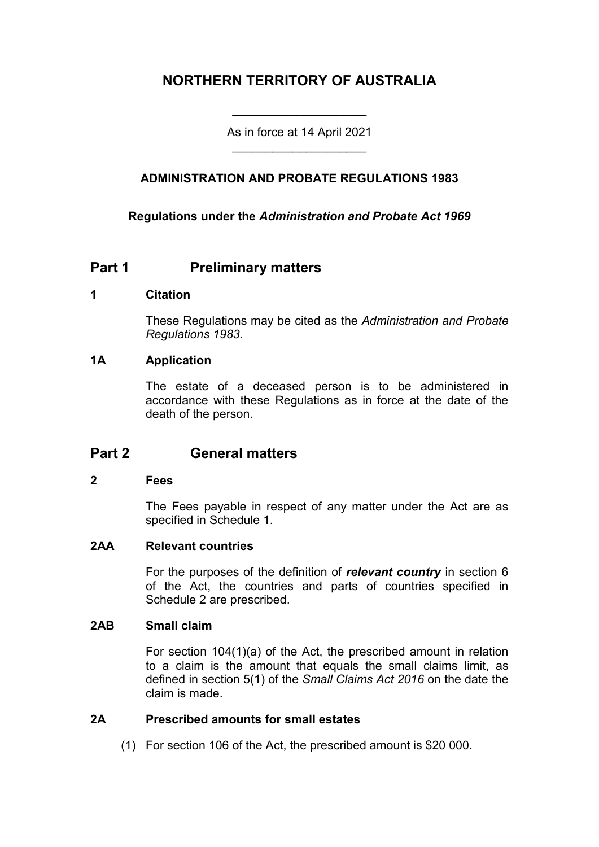# **NORTHERN TERRITORY OF AUSTRALIA**

As in force at 14 April 2021 \_\_\_\_\_\_\_\_\_\_\_\_\_\_\_\_\_\_\_\_

\_\_\_\_\_\_\_\_\_\_\_\_\_\_\_\_\_\_\_\_

## **ADMINISTRATION AND PROBATE REGULATIONS 1983**

### **Regulations under the** *Administration and Probate Act 1969*

## **Part 1 Preliminary matters**

#### **1 Citation**

These Regulations may be cited as the *Administration and Probate Regulations 1983*.

#### **1A Application**

The estate of a deceased person is to be administered in accordance with these Regulations as in force at the date of the death of the person.

## **Part 2 General matters**

#### **2 Fees**

The Fees payable in respect of any matter under the Act are as specified in Schedule 1.

#### **2AA Relevant countries**

For the purposes of the definition of *relevant country* in section 6 of the Act, the countries and parts of countries specified in Schedule 2 are prescribed.

#### **2AB Small claim**

For section 104(1)(a) of the Act, the prescribed amount in relation to a claim is the amount that equals the small claims limit, as defined in section 5(1) of the *Small Claims Act 2016* on the date the claim is made.

#### **2A Prescribed amounts for small estates**

(1) For section 106 of the Act, the prescribed amount is \$20 000.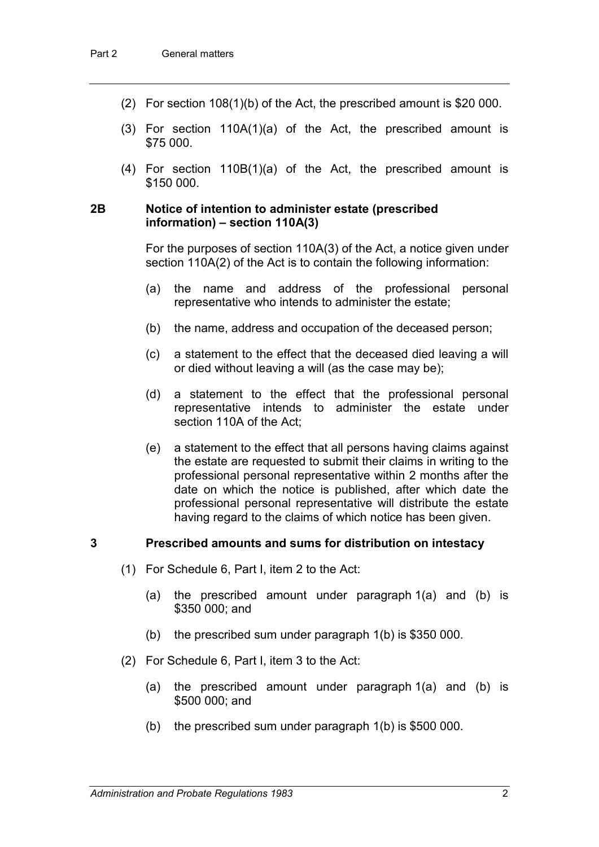- (2) For section 108(1)(b) of the Act, the prescribed amount is \$20 000.
- (3) For section 110A(1)(a) of the Act, the prescribed amount is \$75 000.
- (4) For section 110B(1)(a) of the Act, the prescribed amount is \$150 000.

#### **2B Notice of intention to administer estate (prescribed information) – section 110A(3)**

For the purposes of section 110A(3) of the Act, a notice given under section 110A(2) of the Act is to contain the following information:

- (a) the name and address of the professional personal representative who intends to administer the estate;
- (b) the name, address and occupation of the deceased person;
- (c) a statement to the effect that the deceased died leaving a will or died without leaving a will (as the case may be);
- (d) a statement to the effect that the professional personal representative intends to administer the estate under section 110A of the Act;
- (e) a statement to the effect that all persons having claims against the estate are requested to submit their claims in writing to the professional personal representative within 2 months after the date on which the notice is published, after which date the professional personal representative will distribute the estate having regard to the claims of which notice has been given.

#### **3 Prescribed amounts and sums for distribution on intestacy**

- (1) For Schedule 6, Part I, item 2 to the Act:
	- (a) the prescribed amount under paragraph 1(a) and (b) is \$350 000; and
	- (b) the prescribed sum under paragraph 1(b) is \$350 000.
- (2) For Schedule 6, Part I, item 3 to the Act:
	- (a) the prescribed amount under paragraph 1(a) and (b) is \$500 000; and
	- (b) the prescribed sum under paragraph 1(b) is \$500 000.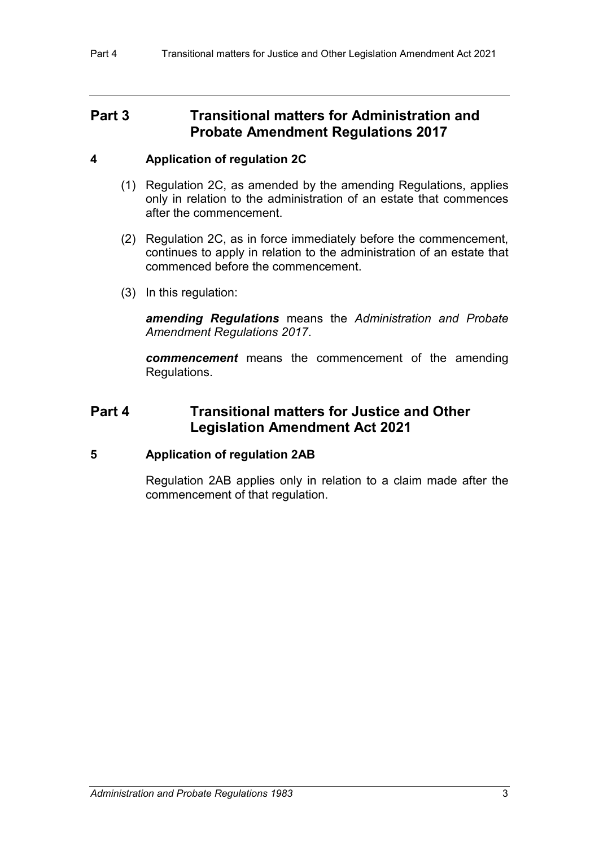## **Part 3 Transitional matters for Administration and Probate Amendment Regulations 2017**

### **4 Application of regulation 2C**

- (1) Regulation 2C, as amended by the amending Regulations, applies only in relation to the administration of an estate that commences after the commencement.
- (2) Regulation 2C, as in force immediately before the commencement, continues to apply in relation to the administration of an estate that commenced before the commencement.
- (3) In this regulation:

*amending Regulations* means the *Administration and Probate Amendment Regulations 2017*.

*commencement* means the commencement of the amending Regulations.

## **Part 4 Transitional matters for Justice and Other Legislation Amendment Act 2021**

### **5 Application of regulation 2AB**

Regulation 2AB applies only in relation to a claim made after the commencement of that regulation.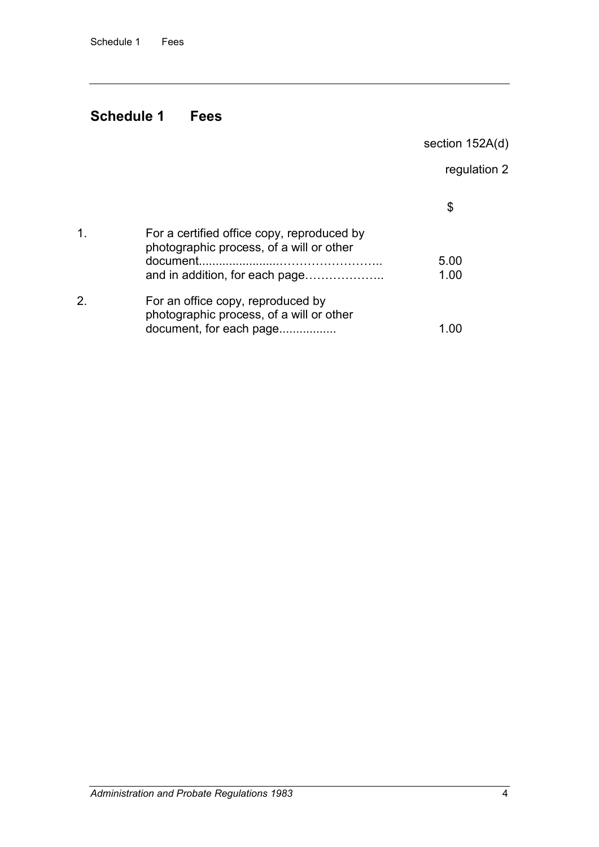# **Schedule 1 Fees**

section 152A(d)

regulation 2

| For a certified office copy, reproduced by<br>photographic process, of a will or other<br>document.<br>and in addition, for each page | 5.00<br>1.00 |
|---------------------------------------------------------------------------------------------------------------------------------------|--------------|
| For an office copy, reproduced by<br>photographic process, of a will or other<br>document, for each page                              |              |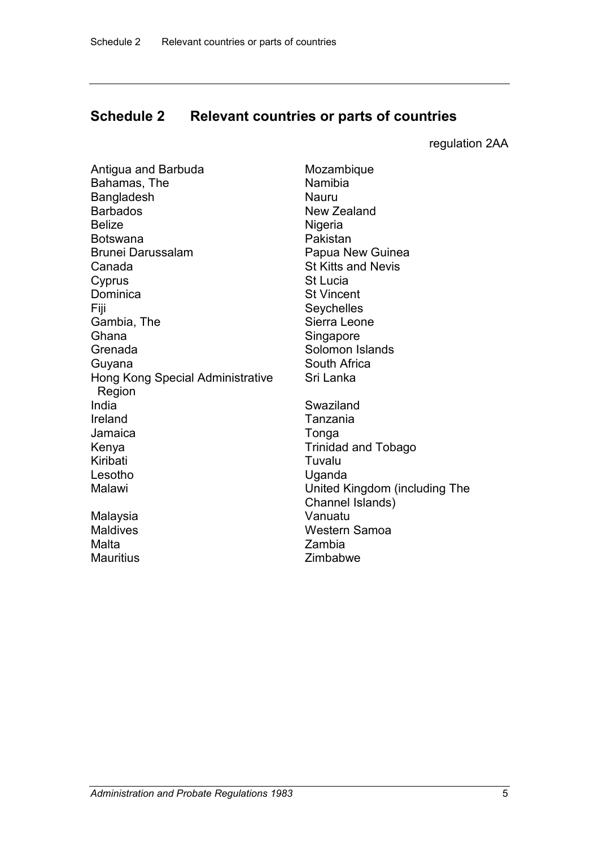## **Schedule 2 Relevant countries or parts of countries**

regulation 2AA

| Antigua and Barbuda<br>Bahamas, The<br>Bangladesh<br><b>Barbados</b><br><b>Belize</b><br><b>Botswana</b><br><b>Brunei Darussalam</b><br>Canada<br>Cyprus<br>Dominica<br>Fiji<br>Gambia, The<br>Ghana | Mozambiq<br>Namibia<br>Nauru<br>New Zeala<br>Nigeria<br>Pakistan<br>Papua Nev<br><b>St Kitts and</b><br><b>St Lucia</b><br><b>St Vincent</b><br>Seychelles<br>Sierra Leor<br>Singapore |
|------------------------------------------------------------------------------------------------------------------------------------------------------------------------------------------------------|----------------------------------------------------------------------------------------------------------------------------------------------------------------------------------------|
| Grenada                                                                                                                                                                                              | Solomon Is                                                                                                                                                                             |
| Guyana<br>Hong Kong Special Administrative<br>Region                                                                                                                                                 | South Afric<br>Sri Lanka                                                                                                                                                               |
| India                                                                                                                                                                                                | Swaziland                                                                                                                                                                              |
| Ireland                                                                                                                                                                                              | Tanzania                                                                                                                                                                               |
| Jamaica                                                                                                                                                                                              | Tonga                                                                                                                                                                                  |
| Kenya                                                                                                                                                                                                | Trinidad ar                                                                                                                                                                            |
| Kiribati                                                                                                                                                                                             | Tuvalu                                                                                                                                                                                 |
| Lesotho                                                                                                                                                                                              | Uganda                                                                                                                                                                                 |
| Malawi                                                                                                                                                                                               | United King                                                                                                                                                                            |
| Malaysia                                                                                                                                                                                             | <b>Channel Is</b><br>Vanuatu                                                                                                                                                           |
| <b>Maldives</b>                                                                                                                                                                                      | Western S⊧                                                                                                                                                                             |
| Malta                                                                                                                                                                                                | Zambia                                                                                                                                                                                 |
| <b>Mauritius</b>                                                                                                                                                                                     | Zimbabwe                                                                                                                                                                               |

**Mozambique** Namibia<br>Nauru **New Zealand** Nigeria Pakistan Papua New Guinea **St Kitts and Nevis St Lucia St Vincent** Seychelles Sierra Leone Singapore Solomon Islands South Africa Sri Lanka Swaziland Tanzania Tonga Trinidad and Tobago Tuvalu Uganda United Kingdom (including The Channel Islands) Vanuatu Western Samoa Zambia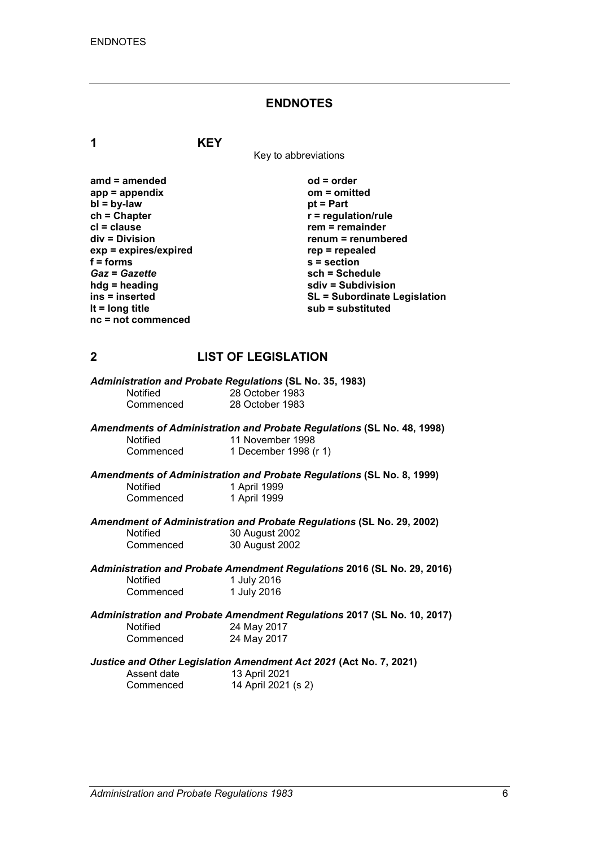#### **ENDNOTES**

**1 KEY**

Key to abbreviations

| $amd = amended$       | $od = order$                        |
|-----------------------|-------------------------------------|
| $app = appendix$      | om = omitted                        |
| $bl = by-law$         | $pt = Part$                         |
| $ch = Chapter$        | $r =$ regulation/rule               |
| $cl = clause$         | $rem = remainder$                   |
| $div = Division$      | renum = renumbered                  |
| exp = expires/expired | $rep = repeated$                    |
| $f =$ forms           | $s =$ section                       |
| <b>Gaz = Gazette</b>  | sch = Schedule                      |
| $hdg =$ heading       | sdiv = Subdivision                  |
| ins = inserted        | <b>SL = Subordinate Legislation</b> |
| It = $long$ title     | $sub =$ substituted                 |
| $nc = not$ commenced  |                                     |

### **2 LIST OF LEGISLATION**

|                 | Administration and Probate Regulations (SL No. 35, 1983)               |
|-----------------|------------------------------------------------------------------------|
| <b>Notified</b> | 28 October 1983                                                        |
| Commenced       | 28 October 1983                                                        |
|                 | Amendments of Administration and Probate Regulations (SL No. 48, 1998) |
| <b>Notified</b> | 11 November 1998                                                       |
| Commenced       | 1 December 1998 (r 1)                                                  |

*Amendments of Administration and Probate Regulations* **(SL No. 8, 1999)** Notified 1 April 1999<br>Commenced 1 April 1999 1 April 1999

*Amendment of Administration and Probate Regulations* **(SL No. 29, 2002)** Notified 30 August 2002<br>Commenced 30 August 2002 30 August 2002

*Administration and Probate Amendment Regulations* **2016 (SL No. 29, 2016)** 1 July 2016<br>1 July 2016 Commenced

*Administration and Probate Amendment Regulations* **2017 (SL No. 10, 2017)** Notified 24 May 2017<br>Commenced 24 May 2017 24 May 2017

*Justice and Other Legislation Amendment Act 2021* **(Act No. 7, 2021)**

Assent date 13 April 2021<br>Commenced 14 April 2021

14 April 2021 (s 2)